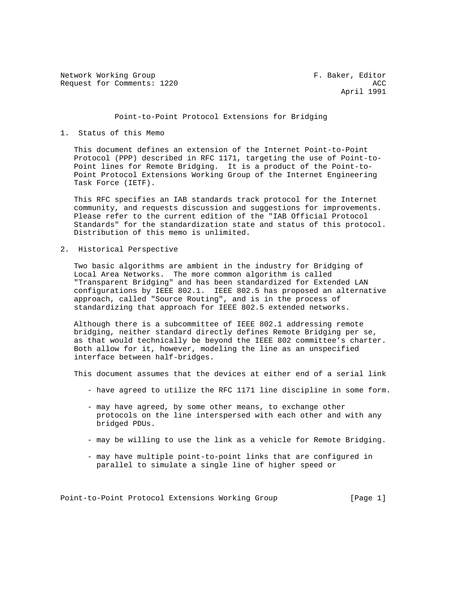Network Working Group **F. Baker, Editor** Request for Comments: 1220 ACC

April 1991

#### Point-to-Point Protocol Extensions for Bridging

## 1. Status of this Memo

 This document defines an extension of the Internet Point-to-Point Protocol (PPP) described in RFC 1171, targeting the use of Point-to- Point lines for Remote Bridging. It is a product of the Point-to- Point Protocol Extensions Working Group of the Internet Engineering Task Force (IETF).

 This RFC specifies an IAB standards track protocol for the Internet community, and requests discussion and suggestions for improvements. Please refer to the current edition of the "IAB Official Protocol Standards" for the standardization state and status of this protocol. Distribution of this memo is unlimited.

2. Historical Perspective

 Two basic algorithms are ambient in the industry for Bridging of Local Area Networks. The more common algorithm is called "Transparent Bridging" and has been standardized for Extended LAN configurations by IEEE 802.1. IEEE 802.5 has proposed an alternative approach, called "Source Routing", and is in the process of standardizing that approach for IEEE 802.5 extended networks.

 Although there is a subcommittee of IEEE 802.1 addressing remote bridging, neither standard directly defines Remote Bridging per se, as that would technically be beyond the IEEE 802 committee's charter. Both allow for it, however, modeling the line as an unspecified interface between half-bridges.

This document assumes that the devices at either end of a serial link

- have agreed to utilize the RFC 1171 line discipline in some form.
- may have agreed, by some other means, to exchange other protocols on the line interspersed with each other and with any bridged PDUs.
- may be willing to use the link as a vehicle for Remote Bridging.
- may have multiple point-to-point links that are configured in parallel to simulate a single line of higher speed or

Point-to-Point Protocol Extensions Working Group [Page 1]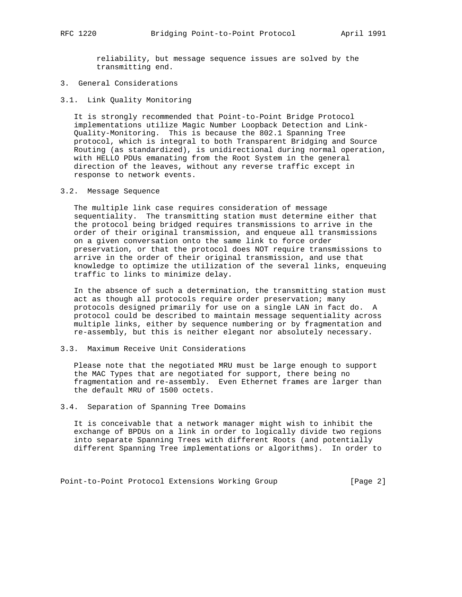reliability, but message sequence issues are solved by the transmitting end.

- 3. General Considerations
- 3.1. Link Quality Monitoring

 It is strongly recommended that Point-to-Point Bridge Protocol implementations utilize Magic Number Loopback Detection and Link- Quality-Monitoring. This is because the 802.1 Spanning Tree protocol, which is integral to both Transparent Bridging and Source Routing (as standardized), is unidirectional during normal operation, with HELLO PDUs emanating from the Root System in the general direction of the leaves, without any reverse traffic except in response to network events.

3.2. Message Sequence

 The multiple link case requires consideration of message sequentiality. The transmitting station must determine either that the protocol being bridged requires transmissions to arrive in the order of their original transmission, and enqueue all transmissions on a given conversation onto the same link to force order preservation, or that the protocol does NOT require transmissions to arrive in the order of their original transmission, and use that knowledge to optimize the utilization of the several links, enqueuing traffic to links to minimize delay.

 In the absence of such a determination, the transmitting station must act as though all protocols require order preservation; many protocols designed primarily for use on a single LAN in fact do. A protocol could be described to maintain message sequentiality across multiple links, either by sequence numbering or by fragmentation and re-assembly, but this is neither elegant nor absolutely necessary.

3.3. Maximum Receive Unit Considerations

 Please note that the negotiated MRU must be large enough to support the MAC Types that are negotiated for support, there being no fragmentation and re-assembly. Even Ethernet frames are larger than the default MRU of 1500 octets.

#### 3.4. Separation of Spanning Tree Domains

 It is conceivable that a network manager might wish to inhibit the exchange of BPDUs on a link in order to logically divide two regions into separate Spanning Trees with different Roots (and potentially different Spanning Tree implementations or algorithms). In order to

Point-to-Point Protocol Extensions Working Group [Page 2]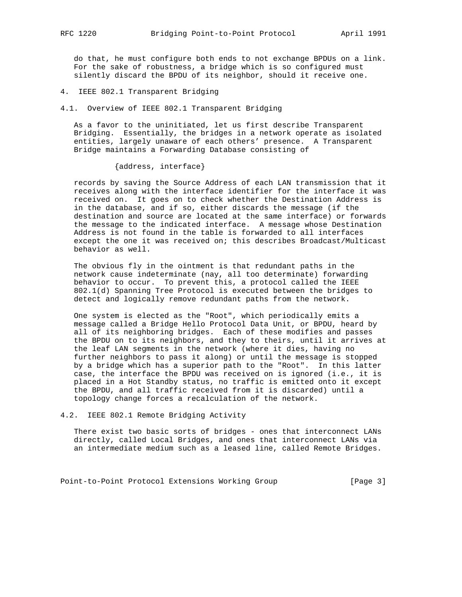do that, he must configure both ends to not exchange BPDUs on a link. For the sake of robustness, a bridge which is so configured must silently discard the BPDU of its neighbor, should it receive one.

4. IEEE 802.1 Transparent Bridging

4.1. Overview of IEEE 802.1 Transparent Bridging

 As a favor to the uninitiated, let us first describe Transparent Bridging. Essentially, the bridges in a network operate as isolated entities, largely unaware of each others' presence. A Transparent Bridge maintains a Forwarding Database consisting of

{address, interface}

 records by saving the Source Address of each LAN transmission that it receives along with the interface identifier for the interface it was received on. It goes on to check whether the Destination Address is in the database, and if so, either discards the message (if the destination and source are located at the same interface) or forwards the message to the indicated interface. A message whose Destination Address is not found in the table is forwarded to all interfaces except the one it was received on; this describes Broadcast/Multicast behavior as well.

 The obvious fly in the ointment is that redundant paths in the network cause indeterminate (nay, all too determinate) forwarding behavior to occur. To prevent this, a protocol called the IEEE 802.1(d) Spanning Tree Protocol is executed between the bridges to detect and logically remove redundant paths from the network.

 One system is elected as the "Root", which periodically emits a message called a Bridge Hello Protocol Data Unit, or BPDU, heard by all of its neighboring bridges. Each of these modifies and passes the BPDU on to its neighbors, and they to theirs, until it arrives at the leaf LAN segments in the network (where it dies, having no further neighbors to pass it along) or until the message is stopped by a bridge which has a superior path to the "Root". In this latter case, the interface the BPDU was received on is ignored (i.e., it is placed in a Hot Standby status, no traffic is emitted onto it except the BPDU, and all traffic received from it is discarded) until a topology change forces a recalculation of the network.

4.2. IEEE 802.1 Remote Bridging Activity

 There exist two basic sorts of bridges - ones that interconnect LANs directly, called Local Bridges, and ones that interconnect LANs via an intermediate medium such as a leased line, called Remote Bridges.

Point-to-Point Protocol Extensions Working Group [Page 3]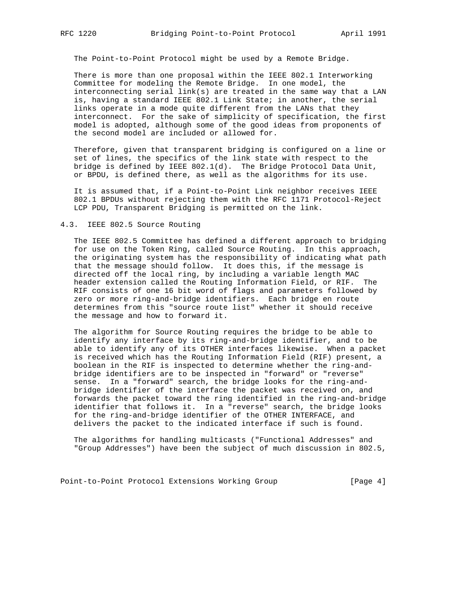The Point-to-Point Protocol might be used by a Remote Bridge.

 There is more than one proposal within the IEEE 802.1 Interworking Committee for modeling the Remote Bridge. In one model, the interconnecting serial link(s) are treated in the same way that a LAN is, having a standard IEEE 802.1 Link State; in another, the serial links operate in a mode quite different from the LANs that they interconnect. For the sake of simplicity of specification, the first model is adopted, although some of the good ideas from proponents of the second model are included or allowed for.

 Therefore, given that transparent bridging is configured on a line or set of lines, the specifics of the link state with respect to the bridge is defined by IEEE 802.1(d). The Bridge Protocol Data Unit, or BPDU, is defined there, as well as the algorithms for its use.

 It is assumed that, if a Point-to-Point Link neighbor receives IEEE 802.1 BPDUs without rejecting them with the RFC 1171 Protocol-Reject LCP PDU, Transparent Bridging is permitted on the link.

## 4.3. IEEE 802.5 Source Routing

 The IEEE 802.5 Committee has defined a different approach to bridging for use on the Token Ring, called Source Routing. In this approach, the originating system has the responsibility of indicating what path that the message should follow. It does this, if the message is directed off the local ring, by including a variable length MAC header extension called the Routing Information Field, or RIF. The RIF consists of one 16 bit word of flags and parameters followed by zero or more ring-and-bridge identifiers. Each bridge en route determines from this "source route list" whether it should receive the message and how to forward it.

 The algorithm for Source Routing requires the bridge to be able to identify any interface by its ring-and-bridge identifier, and to be able to identify any of its OTHER interfaces likewise. When a packet is received which has the Routing Information Field (RIF) present, a boolean in the RIF is inspected to determine whether the ring-and bridge identifiers are to be inspected in "forward" or "reverse" sense. In a "forward" search, the bridge looks for the ring-and bridge identifier of the interface the packet was received on, and forwards the packet toward the ring identified in the ring-and-bridge identifier that follows it. In a "reverse" search, the bridge looks for the ring-and-bridge identifier of the OTHER INTERFACE, and delivers the packet to the indicated interface if such is found.

 The algorithms for handling multicasts ("Functional Addresses" and "Group Addresses") have been the subject of much discussion in 802.5,

Point-to-Point Protocol Extensions Working Group [Page 4]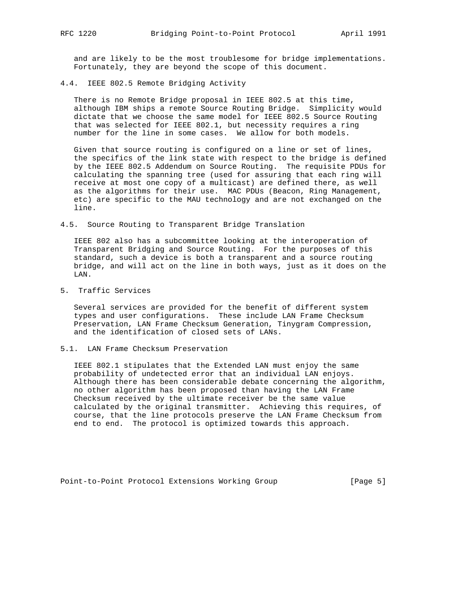and are likely to be the most troublesome for bridge implementations. Fortunately, they are beyond the scope of this document.

4.4. IEEE 802.5 Remote Bridging Activity

 There is no Remote Bridge proposal in IEEE 802.5 at this time, although IBM ships a remote Source Routing Bridge. Simplicity would dictate that we choose the same model for IEEE 802.5 Source Routing that was selected for IEEE 802.1, but necessity requires a ring number for the line in some cases. We allow for both models.

 Given that source routing is configured on a line or set of lines, the specifics of the link state with respect to the bridge is defined by the IEEE 802.5 Addendum on Source Routing. The requisite PDUs for calculating the spanning tree (used for assuring that each ring will receive at most one copy of a multicast) are defined there, as well as the algorithms for their use. MAC PDUs (Beacon, Ring Management, etc) are specific to the MAU technology and are not exchanged on the line.

4.5. Source Routing to Transparent Bridge Translation

 IEEE 802 also has a subcommittee looking at the interoperation of Transparent Bridging and Source Routing. For the purposes of this standard, such a device is both a transparent and a source routing bridge, and will act on the line in both ways, just as it does on the LAN.

5. Traffic Services

 Several services are provided for the benefit of different system types and user configurations. These include LAN Frame Checksum Preservation, LAN Frame Checksum Generation, Tinygram Compression, and the identification of closed sets of LANs.

5.1. LAN Frame Checksum Preservation

 IEEE 802.1 stipulates that the Extended LAN must enjoy the same probability of undetected error that an individual LAN enjoys. Although there has been considerable debate concerning the algorithm, no other algorithm has been proposed than having the LAN Frame Checksum received by the ultimate receiver be the same value calculated by the original transmitter. Achieving this requires, of course, that the line protocols preserve the LAN Frame Checksum from end to end. The protocol is optimized towards this approach.

Point-to-Point Protocol Extensions Working Group [Page 5]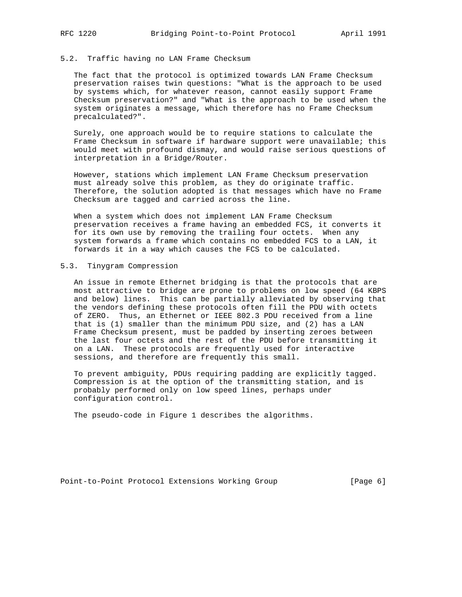## 5.2. Traffic having no LAN Frame Checksum

 The fact that the protocol is optimized towards LAN Frame Checksum preservation raises twin questions: "What is the approach to be used by systems which, for whatever reason, cannot easily support Frame Checksum preservation?" and "What is the approach to be used when the system originates a message, which therefore has no Frame Checksum precalculated?".

 Surely, one approach would be to require stations to calculate the Frame Checksum in software if hardware support were unavailable; this would meet with profound dismay, and would raise serious questions of interpretation in a Bridge/Router.

 However, stations which implement LAN Frame Checksum preservation must already solve this problem, as they do originate traffic. Therefore, the solution adopted is that messages which have no Frame Checksum are tagged and carried across the line.

 When a system which does not implement LAN Frame Checksum preservation receives a frame having an embedded FCS, it converts it for its own use by removing the trailing four octets. When any system forwards a frame which contains no embedded FCS to a LAN, it forwards it in a way which causes the FCS to be calculated.

## 5.3. Tinygram Compression

 An issue in remote Ethernet bridging is that the protocols that are most attractive to bridge are prone to problems on low speed (64 KBPS and below) lines. This can be partially alleviated by observing that the vendors defining these protocols often fill the PDU with octets of ZERO. Thus, an Ethernet or IEEE 802.3 PDU received from a line that is (1) smaller than the minimum PDU size, and (2) has a LAN Frame Checksum present, must be padded by inserting zeroes between the last four octets and the rest of the PDU before transmitting it on a LAN. These protocols are frequently used for interactive sessions, and therefore are frequently this small.

 To prevent ambiguity, PDUs requiring padding are explicitly tagged. Compression is at the option of the transmitting station, and is probably performed only on low speed lines, perhaps under configuration control.

The pseudo-code in Figure 1 describes the algorithms.

Point-to-Point Protocol Extensions Working Group [Page 6]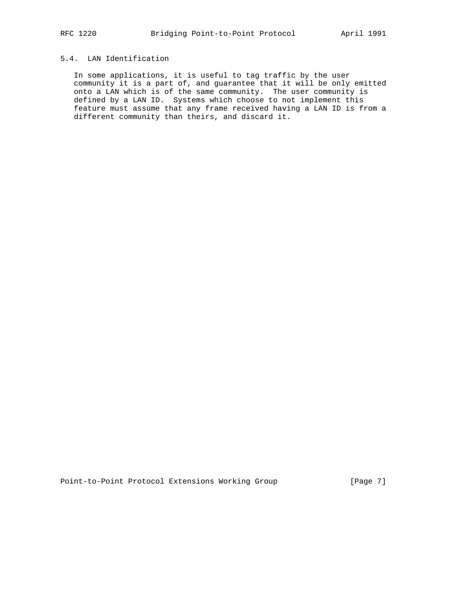# 5.4. LAN Identification

 In some applications, it is useful to tag traffic by the user community it is a part of, and guarantee that it will be only emitted onto a LAN which is of the same community. The user community is defined by a LAN ID. Systems which choose to not implement this feature must assume that any frame received having a LAN ID is from a different community than theirs, and discard it.

Point-to-Point Protocol Extensions Working Group [Page 7]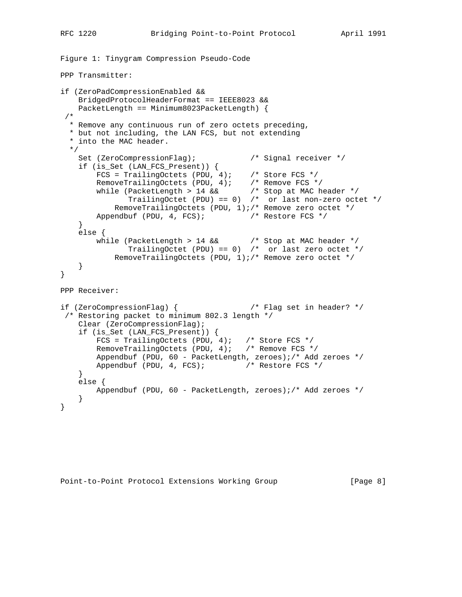```
Figure 1: Tinygram Compression Pseudo-Code
PPP Transmitter:
if (ZeroPadCompressionEnabled &&
    BridgedProtocolHeaderFormat == IEEE8023 &&
    PacketLength == Minimum8023PacketLength) {
  /*
  * Remove any continuous run of zero octets preceding,
  * but not including, the LAN FCS, but not extending
   * into the MAC header.
  */
Set (ZeroCompressionFlag); \overline{\phantom{a}} /* Signal receiver */
 if (is_Set (LAN_FCS_Present)) {
 FCS = TrailingOctets (PDU, 4); /* Store FCS */
RemoveTrailingOctets (PDU, 4); /* Remove FCS */
 while (PacketLength > 14 && /* Stop at MAC header */
 TrailingOctet (PDU) == 0) /* or last non-zero octet */
            RemoveTrailingOctets (PDU, 1);/* Remove zero octet */
       Appendbuf (PDU, 4, FCS); \frac{1}{2} /* Restore FCS */
     }
    else {
       while (PacketLength > 14 && /* Stop at MAC header */
               TrailingOctet (PDU) == 0) /* or last zero octet */
            RemoveTrailingOctets (PDU, 1);/* Remove zero octet */
    }
}
PPP Receiver:
if (ZeroCompressionFlag) { /* Flag set in header? */
 /* Restoring packet to minimum 802.3 length */
    Clear (ZeroCompressionFlag);
    if (is_Set (LAN_FCS_Present)) {
       FCS = TrailingOctets (PDU, 4); /* Store FCS */
       RemoveTrailingOctets (PDU, 4); /* Remove FCS */
        Appendbuf (PDU, 60 - PacketLength, zeroes);/* Add zeroes */
       Appendbuf (PDU, 4, FCS); /* Restore FCS */
     }
    else {
       Appendbuf (PDU, 60 - PacketLength, zeroes);/* Add zeroes */
    }
}
```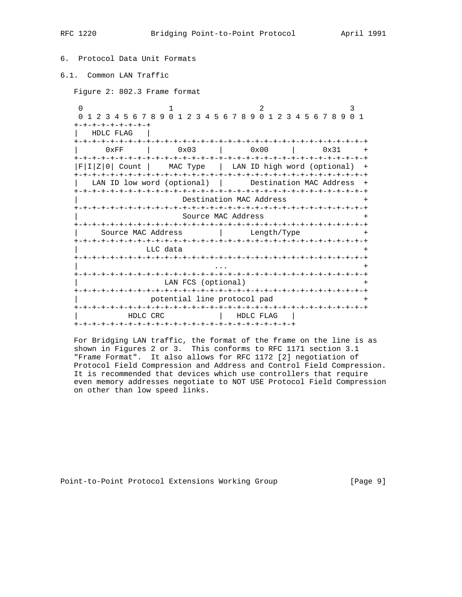| 6. Protocol Data Unit Formats              |                             |                         |                                                                 |
|--------------------------------------------|-----------------------------|-------------------------|-----------------------------------------------------------------|
| 6.1. Common LAN Traffic                    |                             |                         |                                                                 |
| Figure 2: 802.3 Frame format               |                             |                         |                                                                 |
| $\Omega$<br>+-+-+-+-+-+-+-+-+<br>HDLC FLAG |                             |                         | 0 1 2 3 4 5 6 7 8 9 0 1 2 3 4 5 6 7 8 9 0 1 2 3 4 5 6 7 8 9 0 1 |
| 0xFF                                       |                             |                         | $0 \times 03$ $1 \times 000$ $1 \times 31$ +                    |
|                                            |                             |                         | F I Z 0  Count   MAC Type   LAN ID high word (optional) +       |
|                                            |                             |                         | LAN ID low word (optional)   Destination MAC Address +          |
|                                            |                             | Destination MAC Address | $+$                                                             |
|                                            |                             | Source MAC Address      | $+$                                                             |
| Source MAC Address (and Length/Type +      |                             |                         |                                                                 |
|                                            | LLC data                    |                         |                                                                 |
|                                            |                             |                         |                                                                 |
|                                            | LAN FCS (optional)          |                         |                                                                 |
|                                            | potential line protocol pad |                         | $\overline{+}$                                                  |

 For Bridging LAN traffic, the format of the frame on the line is as shown in Figures 2 or 3. This conforms to RFC 1171 section 3.1 "Frame Format". It also allows for RFC 1172 [2] negotiation of Protocol Field Compression and Address and Control Field Compression. It is recommended that devices which use controllers that require even memory addresses negotiate to NOT USE Protocol Field Compression on other than low speed links.

+-+-+-+-+-+-+-+-+-+-+-+-+-+-+-+-+-+-+-+-+-+-+-+-+-+-+-+-+-+-+-+-+

| HDLC CRC | HDLC FLAG |

+-+-+-+-+-+-+-+-+-+-+-+-+-+-+-+-+-+-+-+-+-+-+-+-+

Point-to-Point Protocol Extensions Working Group [Page 9]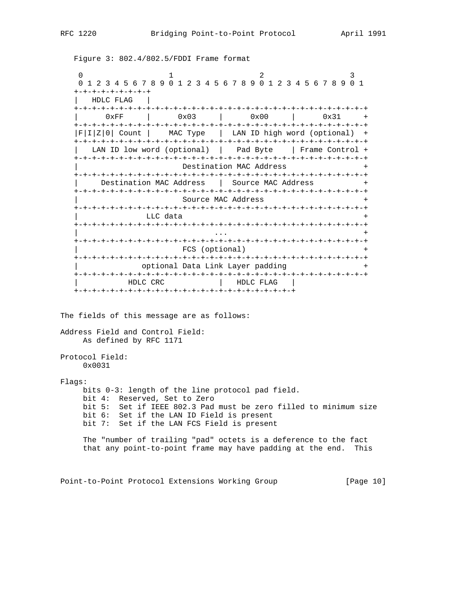Figure 3: 802.4/802.5/FDDI Frame format

 $\begin{array}{ccccccc}\n0 & & & 1 & & & 2 & & 3\n\end{array}$  0 1 2 3 4 5 6 7 8 9 0 1 2 3 4 5 6 7 8 9 0 1 2 3 4 5 6 7 8 9 0 1 +-+-+-+-+-+-+-+-+ | HDLC FLAG | +-+-+-+-+-+-+-+-+-+-+-+-+-+-+-+-+-+-+-+-+-+-+-+-+-+-+-+-+-+-+-+-+ | 0xFF | 0x03 | 0x00 | 0x31 + +-+-+-+-+-+-+-+-+-+-+-+-+-+-+-+-+-+-+-+-+-+-+-+-+-+-+-+-+-+-+-+-+ |F|I|Z|0| Count | MAC Type | LAN ID high word (optional) + +-+-+-+-+-+-+-+-+-+-+-+-+-+-+-+-+-+-+-+-+-+-+-+-+-+-+-+-+-+-+-+-+ LAN ID low word (optional) | Pad Byte | Frame Control + +-+-+-+-+-+-+-+-+-+-+-+-+-+-+-+-+-+-+-+-+-+-+-+-+-+-+-+-+-+-+-+-+ Destination MAC Address +-+-+-+-+-+-+-+-+-+-+-+-+-+-+-+-+-+-+-+-+-+-+-+-+-+-+-+-+-+-+-+-+ Destination MAC Address | Source MAC Address + +-+-+-+-+-+-+-+-+-+-+-+-+-+-+-+-+-+-+-+-+-+-+-+-+-+-+-+-+-+-+-+-+ Source MAC Address + +-+-+-+-+-+-+-+-+-+-+-+-+-+-+-+-+-+-+-+-+-+-+-+-+-+-+-+-+-+-+-+-+ LLC data +-+-+-+-+-+-+-+-+-+-+-+-+-+-+-+-+-+-+-+-+-+-+-+-+-+-+-+-+-+-+-+-+ | ... + ... + ... + ... + ... + ... + ... + ... + ... + ... + ... + ... + ... + ... + ... + ... + ... + ... + . +-+-+-+-+-+-+-+-+-+-+-+-+-+-+-+-+-+-+-+-+-+-+-+-+-+-+-+-+-+-+-+-+ FCS (optional) +-+-+-+-+-+-+-+-+-+-+-+-+-+-+-+-+-+-+-+-+-+-+-+-+-+-+-+-+-+-+-+-+ optional Data Link Layer padding +-+-+-+-+-+-+-+-+-+-+-+-+-+-+-+-+-+-+-+-+-+-+-+-+-+-+-+-+-+-+-+-+ | HDLC CRC | HDLC FLAG | +-+-+-+-+-+-+-+-+-+-+-+-+-+-+-+-+-+-+-+-+-+-+-+-+ The fields of this message are as follows: Address Field and Control Field: As defined by RFC 1171 Protocol Field: 0x0031 Flags: bits 0-3: length of the line protocol pad field. bit 4: Reserved, Set to Zero bit 5: Set if IEEE 802.3 Pad must be zero filled to minimum size bit 6: Set if the LAN ID Field is present bit 7: Set if the LAN FCS Field is present The "number of trailing "pad" octets is a deference to the fact that any point-to-point frame may have padding at the end. This

Point-to-Point Protocol Extensions Working Group [Page 10]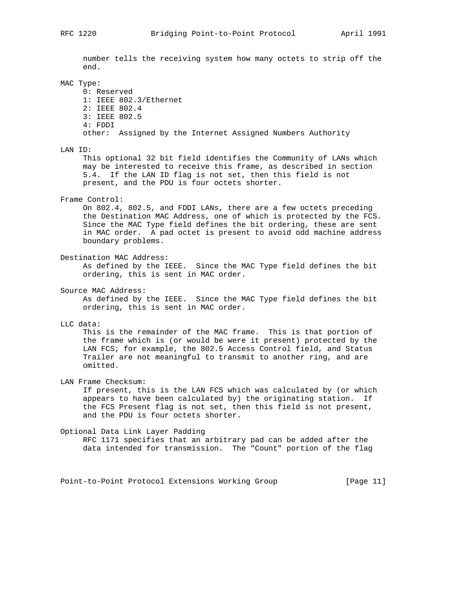number tells the receiving system how many octets to strip off the end.

### MAC Type:

 0: Reserved 1: IEEE 802.3/Ethernet 2: IEEE 802.4 3: IEEE 802.5 4: FDDI other: Assigned by the Internet Assigned Numbers Authority

LAN ID:

 This optional 32 bit field identifies the Community of LANs which may be interested to receive this frame, as described in section 5.4. If the LAN ID flag is not set, then this field is not present, and the PDU is four octets shorter.

Frame Control:

 On 802.4, 802.5, and FDDI LANs, there are a few octets preceding the Destination MAC Address, one of which is protected by the FCS. Since the MAC Type field defines the bit ordering, these are sent in MAC order. A pad octet is present to avoid odd machine address boundary problems.

Destination MAC Address:

 As defined by the IEEE. Since the MAC Type field defines the bit ordering, this is sent in MAC order.

Source MAC Address:

 As defined by the IEEE. Since the MAC Type field defines the bit ordering, this is sent in MAC order.

LLC data:

 This is the remainder of the MAC frame. This is that portion of the frame which is (or would be were it present) protected by the LAN FCS; for example, the 802.5 Access Control field, and Status Trailer are not meaningful to transmit to another ring, and are omitted.

LAN Frame Checksum:

 If present, this is the LAN FCS which was calculated by (or which appears to have been calculated by) the originating station. If the FCS Present flag is not set, then this field is not present, and the PDU is four octets shorter.

Optional Data Link Layer Padding

 RFC 1171 specifies that an arbitrary pad can be added after the data intended for transmission. The "Count" portion of the flag

Point-to-Point Protocol Extensions Working Group [Page 11]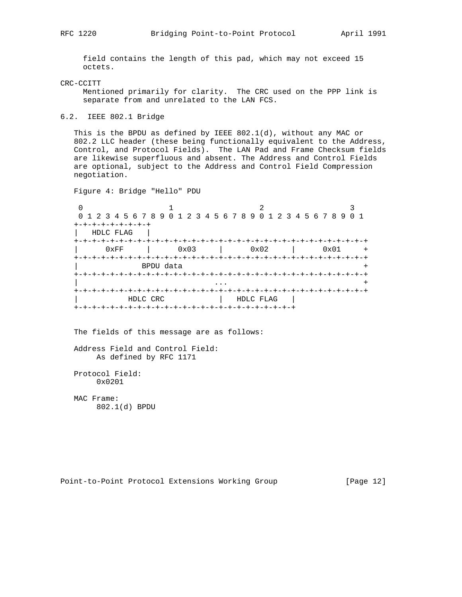field contains the length of this pad, which may not exceed 15 octets.

CRC-CCITT

 Mentioned primarily for clarity. The CRC used on the PPP link is separate from and unrelated to the LAN FCS.

6.2. IEEE 802.1 Bridge

 This is the BPDU as defined by IEEE 802.1(d), without any MAC or 802.2 LLC header (these being functionally equivalent to the Address, Control, and Protocol Fields). The LAN Pad and Frame Checksum fields are likewise superfluous and absent. The Address and Control Fields are optional, subject to the Address and Control Field Compression negotiation.

Figure 4: Bridge "Hello" PDU

0  $1$  2 3 0 1 2 3 4 5 6 7 8 9 0 1 2 3 4 5 6 7 8 9 0 1 2 3 4 5 6 7 8 9 0 1 +-+-+-+-+-+-+-+-+ | HDLC FLAG | +-+-+-+-+-+-+-+-+-+-+-+-+-+-+-+-+-+-+-+-+-+-+-+-+-+-+-+-+-+-+-+-+ | 0xFF | 0x03 | 0x02 | 0x01 + +-+-+-+-+-+-+-+-+-+-+-+-+-+-+-+-+-+-+-+-+-+-+-+-+-+-+-+-+-+-+-+-+ | BPDU data + +-+-+-+-+-+-+-+-+-+-+-+-+-+-+-+-+-+-+-+-+-+-+-+-+-+-+-+-+-+-+-+-+ | ... + ... + ... + ... + ... + ... + ... + ... + ... + ... + ... + ... + ... + ... + ... + ... + ... + ... + . +-+-+-+-+-+-+-+-+-+-+-+-+-+-+-+-+-+-+-+-+-+-+-+-+-+-+-+-+-+-+-+-+ | HDLC CRC | HDLC FLAG | +-+-+-+-+-+-+-+-+-+-+-+-+-+-+-+-+-+-+-+-+-+-+-+-+

The fields of this message are as follows:

 Address Field and Control Field: As defined by RFC 1171

 Protocol Field: 0x0201

 MAC Frame: 802.1(d) BPDU

Point-to-Point Protocol Extensions Working Group [Page 12]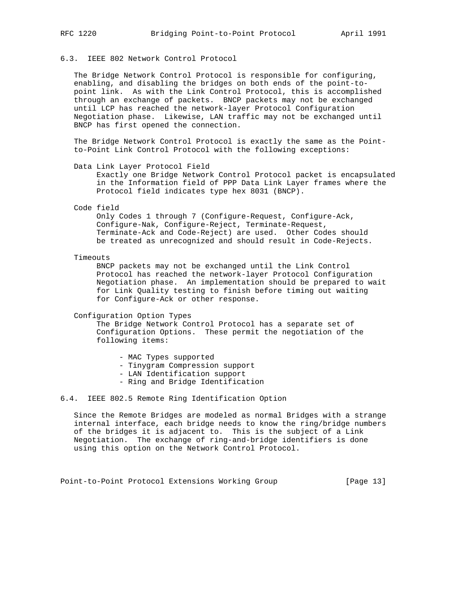## 6.3. IEEE 802 Network Control Protocol

 The Bridge Network Control Protocol is responsible for configuring, enabling, and disabling the bridges on both ends of the point-to point link. As with the Link Control Protocol, this is accomplished through an exchange of packets. BNCP packets may not be exchanged until LCP has reached the network-layer Protocol Configuration Negotiation phase. Likewise, LAN traffic may not be exchanged until BNCP has first opened the connection.

 The Bridge Network Control Protocol is exactly the same as the Point to-Point Link Control Protocol with the following exceptions:

Data Link Layer Protocol Field

 Exactly one Bridge Network Control Protocol packet is encapsulated in the Information field of PPP Data Link Layer frames where the Protocol field indicates type hex 8031 (BNCP).

Code field

 Only Codes 1 through 7 (Configure-Request, Configure-Ack, Configure-Nak, Configure-Reject, Terminate-Request, Terminate-Ack and Code-Reject) are used. Other Codes should be treated as unrecognized and should result in Code-Rejects.

Timeouts

 BNCP packets may not be exchanged until the Link Control Protocol has reached the network-layer Protocol Configuration Negotiation phase. An implementation should be prepared to wait for Link Quality testing to finish before timing out waiting for Configure-Ack or other response.

Configuration Option Types

 The Bridge Network Control Protocol has a separate set of Configuration Options. These permit the negotiation of the following items:

- MAC Types supported
- Tinygram Compression support
- LAN Identification support
- Ring and Bridge Identification

## 6.4. IEEE 802.5 Remote Ring Identification Option

 Since the Remote Bridges are modeled as normal Bridges with a strange internal interface, each bridge needs to know the ring/bridge numbers of the bridges it is adjacent to. This is the subject of a Link Negotiation. The exchange of ring-and-bridge identifiers is done using this option on the Network Control Protocol.

Point-to-Point Protocol Extensions Working Group [Page 13]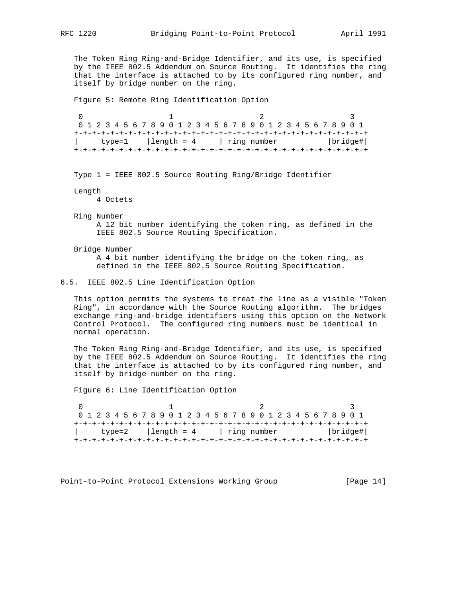The Token Ring Ring-and-Bridge Identifier, and its use, is specified by the IEEE 802.5 Addendum on Source Routing. It identifies the ring that the interface is attached to by its configured ring number, and itself by bridge number on the ring.

Figure 5: Remote Ring Identification Option

0  $1$  2 3 0 1 2 3 4 5 6 7 8 9 0 1 2 3 4 5 6 7 8 9 0 1 2 3 4 5 6 7 8 9 0 1 +-+-+-+-+-+-+-+-+-+-+-+-+-+-+-+-+-+-+-+-+-+-+-+-+-+-+-+-+-+-+-+-+ | type=1 |length = 4 | ring number |bridge#| +-+-+-+-+-+-+-+-+-+-+-+-+-+-+-+-+-+-+-+-+-+-+-+-+-+-+-+-+-+-+-+-+

Type 1 = IEEE 802.5 Source Routing Ring/Bridge Identifier

Length

4 Octets

- Ring Number A 12 bit number identifying the token ring, as defined in the IEEE 802.5 Source Routing Specification.
- Bridge Number A 4 bit number identifying the bridge on the token ring, as defined in the IEEE 802.5 Source Routing Specification.

## 6.5. IEEE 802.5 Line Identification Option

 This option permits the systems to treat the line as a visible "Token Ring", in accordance with the Source Routing algorithm. The bridges exchange ring-and-bridge identifiers using this option on the Network Control Protocol. The configured ring numbers must be identical in normal operation.

 The Token Ring Ring-and-Bridge Identifier, and its use, is specified by the IEEE 802.5 Addendum on Source Routing. It identifies the ring that the interface is attached to by its configured ring number, and itself by bridge number on the ring.

Figure 6: Line Identification Option

0  $1$  2 3 0 1 2 3 4 5 6 7 8 9 0 1 2 3 4 5 6 7 8 9 0 1 2 3 4 5 6 7 8 9 0 1 +-+-+-+-+-+-+-+-+-+-+-+-+-+-+-+-+-+-+-+-+-+-+-+-+-+-+-+-+-+-+-+-+ | type=2 | length = 4 | ring number | bridge#| +-+-+-+-+-+-+-+-+-+-+-+-+-+-+-+-+-+-+-+-+-+-+-+-+-+-+-+-+-+-+-+-+

Point-to-Point Protocol Extensions Working Group [Page 14]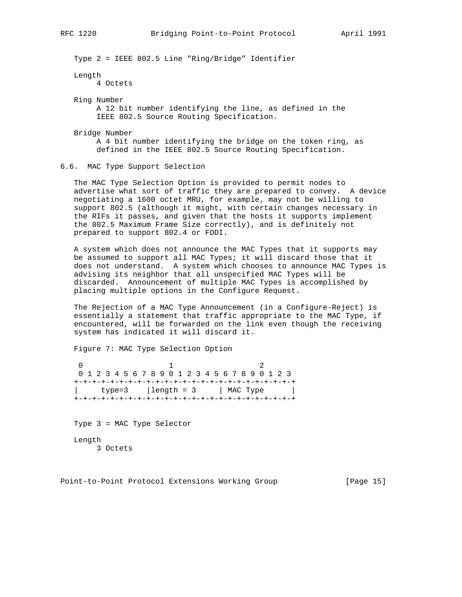Type 2 = IEEE 802.5 Line "Ring/Bridge" Identifier

Length

4 Octets

 Ring Number A 12 bit number identifying the line, as defined in the IEEE 802.5 Source Routing Specification.

Bridge Number

 A 4 bit number identifying the bridge on the token ring, as defined in the IEEE 802.5 Source Routing Specification.

## 6.6. MAC Type Support Selection

 The MAC Type Selection Option is provided to permit nodes to advertise what sort of traffic they are prepared to convey. A device negotiating a 1600 octet MRU, for example, may not be willing to support 802.5 (although it might, with certain changes necessary in the RIFs it passes, and given that the hosts it supports implement the 802.5 Maximum Frame Size correctly), and is definitely not prepared to support 802.4 or FDDI.

 A system which does not announce the MAC Types that it supports may be assumed to support all MAC Types; it will discard those that it does not understand. A system which chooses to announce MAC Types is advising its neighbor that all unspecified MAC Types will be discarded. Announcement of multiple MAC Types is accomplished by placing multiple options in the Configure Request.

 The Rejection of a MAC Type Announcement (in a Configure-Reject) is essentially a statement that traffic appropriate to the MAC Type, if encountered, will be forwarded on the link even though the receiving system has indicated it will discard it.

Figure 7: MAC Type Selection Option

 $0$  1 2 0 1 2 3 4 5 6 7 8 9 0 1 2 3 4 5 6 7 8 9 0 1 2 3 +-+-+-+-+-+-+-+-+-+-+-+-+-+-+-+-+-+-+-+-+-+-+-+-+  $type=3$  |  $length = 3$  | MAC Type +-+-+-+-+-+-+-+-+-+-+-+-+-+-+-+-+-+-+-+-+-+-+-+-+

 Type 3 = MAC Type Selector Length 3 Octets

Point-to-Point Protocol Extensions Working Group [Page 15]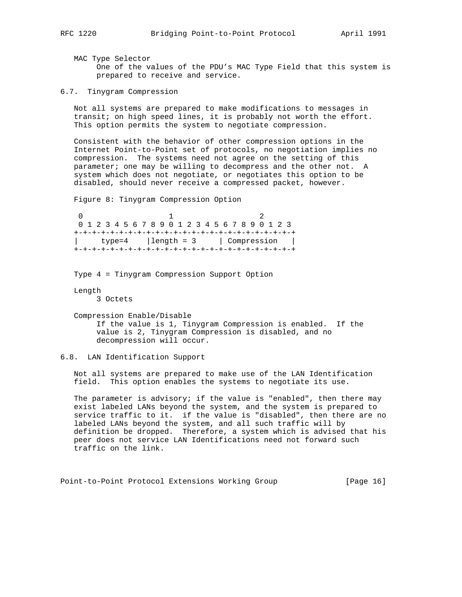MAC Type Selector One of the values of the PDU's MAC Type Field that this system is prepared to receive and service.

6.7. Tinygram Compression

 Not all systems are prepared to make modifications to messages in transit; on high speed lines, it is probably not worth the effort. This option permits the system to negotiate compression.

 Consistent with the behavior of other compression options in the Internet Point-to-Point set of protocols, no negotiation implies no compression. The systems need not agree on the setting of this parameter; one may be willing to decompress and the other not. A system which does not negotiate, or negotiates this option to be disabled, should never receive a compressed packet, however.

Figure 8: Tinygram Compression Option

 $0$  1 2 0 1 2 3 4 5 6 7 8 9 0 1 2 3 4 5 6 7 8 9 0 1 2 3 +-+-+-+-+-+-+-+-+-+-+-+-+-+-+-+-+-+-+-+-+-+-+-+-+ | type=4 | length = 3 | Compression | +-+-+-+-+-+-+-+-+-+-+-+-+-+-+-+-+-+-+-+-+-+-+-+-+

Type 4 = Tinygram Compression Support Option

 Length 3 Octets

 Compression Enable/Disable If the value is 1, Tinygram Compression is enabled. If the value is 2, Tinygram Compression is disabled, and no decompression will occur.

## 6.8. LAN Identification Support

 Not all systems are prepared to make use of the LAN Identification field. This option enables the systems to negotiate its use.

The parameter is advisory; if the value is "enabled", then there may exist labeled LANs beyond the system, and the system is prepared to service traffic to it. if the value is "disabled", then there are no labeled LANs beyond the system, and all such traffic will by definition be dropped. Therefore, a system which is advised that his peer does not service LAN Identifications need not forward such traffic on the link.

Point-to-Point Protocol Extensions Working Group [Page 16]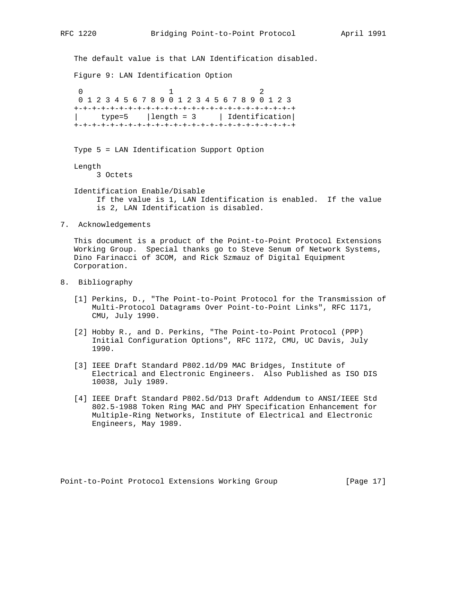The default value is that LAN Identification disabled. Figure 9: LAN Identification Option  $0$  1 2 0 1 2 3 4 5 6 7 8 9 0 1 2 3 4 5 6 7 8 9 0 1 2 3

 +-+-+-+-+-+-+-+-+-+-+-+-+-+-+-+-+-+-+-+-+-+-+-+-+  $type=5$  | length = 3 | Identification +-+-+-+-+-+-+-+-+-+-+-+-+-+-+-+-+-+-+-+-+-+-+-+-+

Type 5 = LAN Identification Support Option

Length

3 Octets

 Identification Enable/Disable If the value is 1, LAN Identification is enabled. If the value is 2, LAN Identification is disabled.

7. Acknowledgements

 This document is a product of the Point-to-Point Protocol Extensions Working Group. Special thanks go to Steve Senum of Network Systems, Dino Farinacci of 3COM, and Rick Szmauz of Digital Equipment Corporation.

- 8. Bibliography
	- [1] Perkins, D., "The Point-to-Point Protocol for the Transmission of Multi-Protocol Datagrams Over Point-to-Point Links", RFC 1171, CMU, July 1990.
	- [2] Hobby R., and D. Perkins, "The Point-to-Point Protocol (PPP) Initial Configuration Options", RFC 1172, CMU, UC Davis, July 1990.
	- [3] IEEE Draft Standard P802.1d/D9 MAC Bridges, Institute of Electrical and Electronic Engineers. Also Published as ISO DIS 10038, July 1989.
	- [4] IEEE Draft Standard P802.5d/D13 Draft Addendum to ANSI/IEEE Std 802.5-1988 Token Ring MAC and PHY Specification Enhancement for Multiple-Ring Networks, Institute of Electrical and Electronic Engineers, May 1989.

Point-to-Point Protocol Extensions Working Group [Page 17]